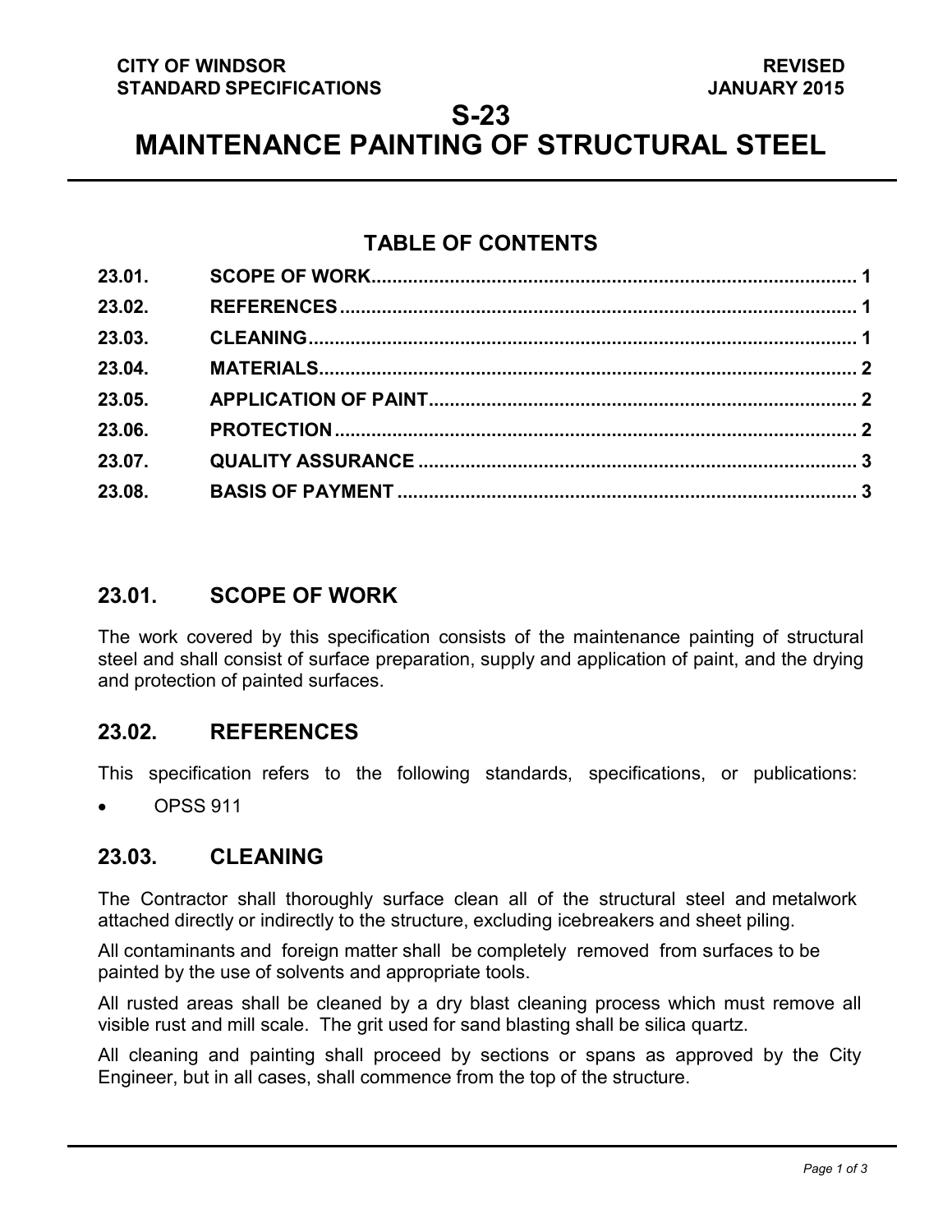### **CITY OF WINDSOR STANDARD SPECIFICATIONS**

### **S-23**

**MAINTENANCE PAINTING OF STRUCTURAL STEEL**

## **TABLE OF CONTENTS**

| 23.01. |  |
|--------|--|
| 23.02. |  |
| 23.03. |  |
| 23.04. |  |
| 23.05. |  |
| 23.06. |  |
| 23.07. |  |
| 23.08. |  |
|        |  |

## <span id="page-0-2"></span>**23.01. SCOPE OF WORK**

The work covered by this specification consists of the maintenance painting of structural steel and shall consist of surface preparation, supply and application of paint, and the drying and protection of painted surfaces.

### <span id="page-0-0"></span>**23.02. REFERENCES**

This specification refers to the following standards, specifications, or publications:

• OPSS 911

### <span id="page-0-1"></span>**23.03. CLEANING**

The Contractor shall thoroughly surface clean all of the structural steel and metalwork attached directly or indirectly to the structure, excluding icebreakers and sheet piling.

All contaminants and foreign matter shall be completely removed from surfaces to be painted by the use of solvents and appropriate tools.

All rusted areas shall be cleaned by a dry blast cleaning process which must remove all visible rust and mill scale. The grit used for sand blasting shall be silica quartz.

All cleaning and painting shall proceed by sections or spans as approved by the City Engineer, but in all cases, shall commence from the top of the structure.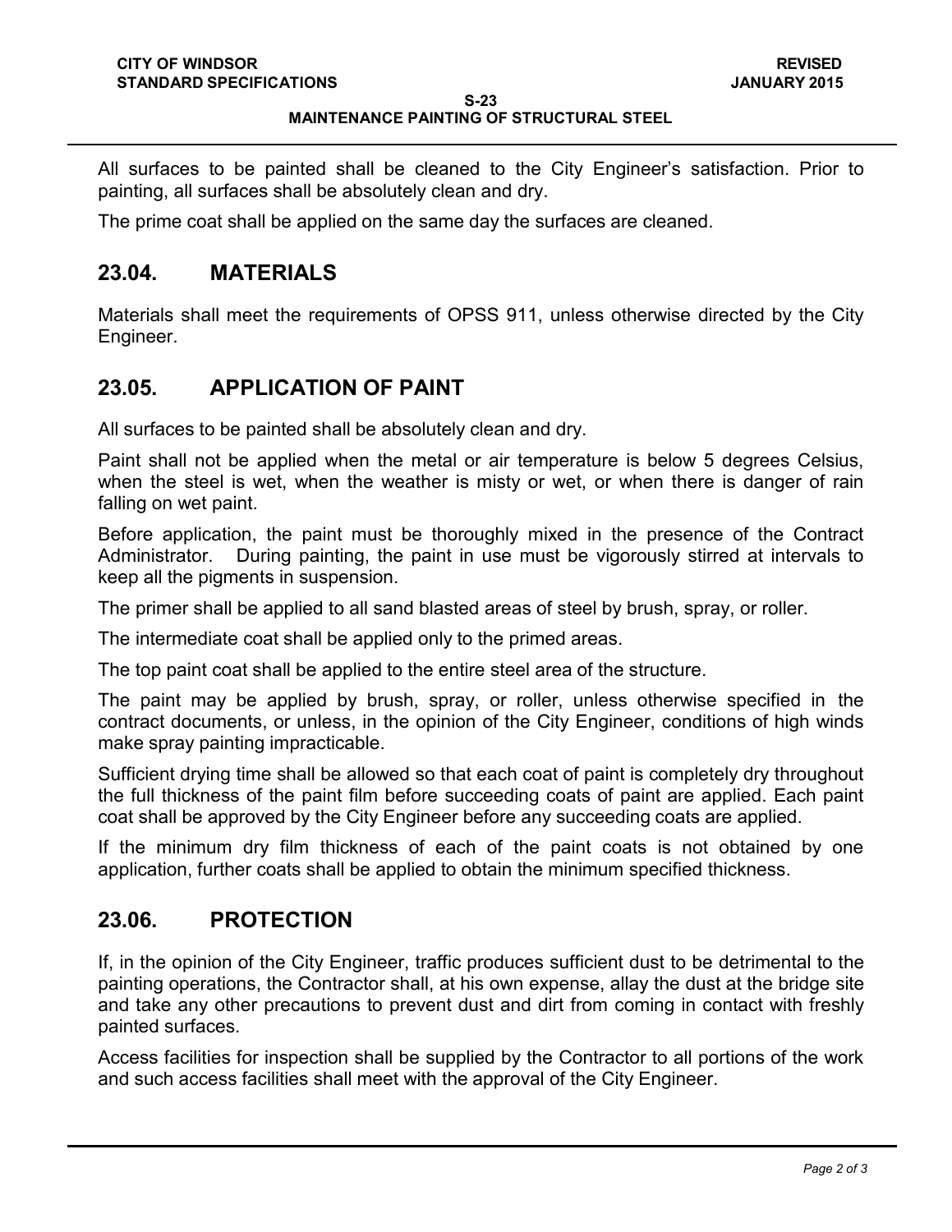#### **S-23 MAINTENANCE PAINTING OF STRUCTURAL STEEL**

All surfaces to be painted shall be cleaned to the City Engineer's satisfaction. Prior to painting, all surfaces shall be absolutely clean and dry.

The prime coat shall be applied on the same day the surfaces are cleaned.

### <span id="page-1-0"></span>**23.04. MATERIALS**

Materials shall meet the requirements of OPSS 911, unless otherwise directed by the City Engineer.

## <span id="page-1-1"></span>**23.05. APPLICATION OF PAINT**

All surfaces to be painted shall be absolutely clean and dry.

Paint shall not be applied when the metal or air temperature is below 5 degrees Celsius, when the steel is wet, when the weather is misty or wet, or when there is danger of rain falling on wet paint.

Before application, the paint must be thoroughly mixed in the presence of the Contract Administrator. During painting, the paint in use must be vigorously stirred at intervals to keep all the pigments in suspension.

The primer shall be applied to all sand blasted areas of steel by brush, spray, or roller.

The intermediate coat shall be applied only to the primed areas.

The top paint coat shall be applied to the entire steel area of the structure.

The paint may be applied by brush, spray, or roller, unless otherwise specified in the contract documents, or unless, in the opinion of the City Engineer, conditions of high winds make spray painting impracticable.

Sufficient drying time shall be allowed so that each coat of paint is completely dry throughout the full thickness of the paint film before succeeding coats of paint are applied. Each paint coat shall be approved by the City Engineer before any succeeding coats are applied.

If the minimum dry film thickness of each of the paint coats is not obtained by one application, further coats shall be applied to obtain the minimum specified thickness.

### <span id="page-1-2"></span>**23.06. PROTECTION**

If, in the opinion of the City Engineer, traffic produces sufficient dust to be detrimental to the painting operations, the Contractor shall, at his own expense, allay the dust at the bridge site and take any other precautions to prevent dust and dirt from coming in contact with freshly painted surfaces.

Access facilities for inspection shall be supplied by the Contractor to all portions of the work and such access facilities shall meet with the approval of the City Engineer.